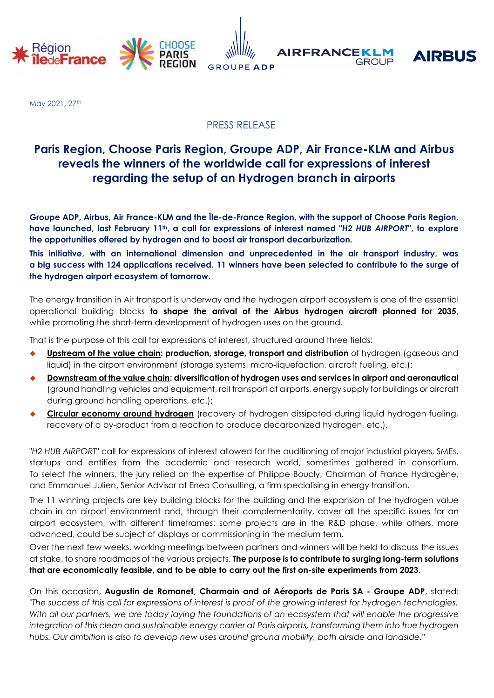

May 2021, 27th

## PRESS RELEASE

# **Paris Region, Choose Paris Region, Groupe ADP, Air France-KLM and Airbus reveals the winners of the worldwide call for expressions of interest regarding the setup of an Hydrogen branch in airports**

**Groupe ADP, Airbus, Air France-KLM and the Île-de-France Region, with the support of Choose Paris Region, have launched, last February 11th, a call for expressions of interest named "***H2 HUB AIRPORT***", to explore the opportunities offered by hydrogen and to boost air transport decarburization.** 

**This initiative, with an international dimension and unprecedented in the air transport industry, was a big success with 124 applications received. 11 winners have been selected to contribute to the surge of the hydrogen airport ecosystem of tomorrow.**

The energy transition in Air transport is underway and the hydrogen airport ecosystem is one of the essential operational building blocks **to shape the arrival of the Airbus hydrogen aircraft planned for 2035**, while promoting the short-term development of hydrogen uses on the ground.

That is the purpose of this call for expressions of interest, structured around three fields:

- **Upstream of the value chain: production, storage, transport and distribution** of hydrogen (gaseous and liquid) in the airport environment (storage systems, micro-liquefaction, aircraft fueling, etc.);
- **Downstream of the value chain: diversification of hydrogen uses and services in airport and aeronautical**  (ground handling vehicles and equipment, rail transport at airports, energy supply for buildings or aircraft during ground handling operations, etc.);
- **Circular economy around hydrogen** (recovery of hydrogen dissipated during liquid hydrogen fueling, recovery of a by-product from a reaction to produce decarbonized hydrogen, etc.).

"*H2 HUB AIRPORT*" call for expressions of interest allowed for the auditioning of major industrial players, SMEs, startups and entities from the academic and research world, sometimes gathered in consortium. To select the winners, the jury relied on the expertise of Philippe Boucly, Chairman of France Hydrogène, and Emmanuel Julien, Senior Advisor at Enea Consulting, a firm specialising in energy transition.

The 11 winning projects are key building blocks for the building and the expansion of the hydrogen value chain in an airport environment and, through their complementarity, cover all the specific issues for an airport ecosystem, with different timeframes: some projects are in the R&D phase, while others, more advanced, could be subject of displays or commissioning in the medium term.

Over the next few weeks, working meetings between partners and winners will be held to discuss the issues at stake, to share roadmaps of the various projects. **The purpose is to contribute to surging long-term solutions that are economically feasible, and to be able to carry out the first on-site experiments from 2023**.

On this occasion, **Augustin de Romanet**, **Charmain and of Aéroports de Paris SA - Groupe ADP**, stated: *"The success of this call for expressions of interest is proof of the growing interest for hydrogen technologies. With all our partners, we are today laying the foundations of an ecosystem that will enable the progressive integration of this clean and sustainable energy carrier at Paris airports, transforming them into true hydrogen hubs. Our ambition is also to develop new uses around ground mobility, both airside and landside."*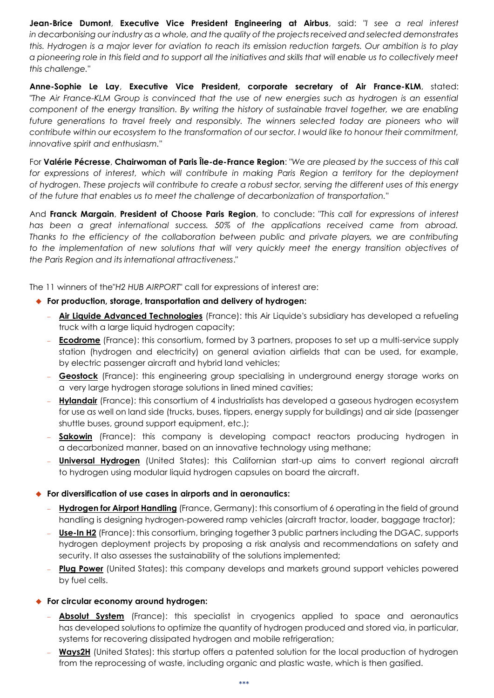**Jean-Brice Dumont**, **Executive Vice President Engineering at Airbus**, said: *"I see a real interest in decarbonising our industry as a whole, and the quality of the projects received and selected demonstrates this. Hydrogen is a major lever for aviation to reach its emission reduction targets. Our ambition is to play a pioneering role in this field and to support all the initiatives and skills that will enable us to collectively meet this challenge."*

**Anne-Sophie Le Lay**, **Executive Vice President, corporate secretary of Air France-KLM**, stated: *"The Air France-KLM Group is convinced that the use of new energies such as hydrogen is an essential component of the energy transition. By writing the history of sustainable travel together, we are enabling future generations to travel freely and responsibly. The winners selected today are pioneers who will contribute within our ecosystem to the transformation of our sector. I would like to honour their commitment, innovative spirit and enthusiasm."*

For **Valérie Pécresse**, **Chairwoman of Paris Île-de-France Region**: *"We are pleased by the success of this call for expressions of interest, which will contribute in making Paris Region a territory for the deployment of hydrogen. These projects will contribute to create a robust sector, serving the different uses of this energy of the future that enables us to meet the challenge of decarbonization of transportation."*

And **Franck Margain**, **President of Choose Paris Region**, to conclude: "*This call for expressions of interest has been a great international success. 50% of the applications received came from abroad. Thanks to the efficiency of the collaboration between public and private players, we are contributing*  to the implementation of new solutions that will very quickly meet the energy transition objectives of *the Paris Region and its international attractiveness*."

The 11 winners of the"*H2 HUB AIRPORT*" call for expressions of interest are:

- **For production, storage, transportation and delivery of hydrogen:** 
	- **Air Liquide Advanced Technologies** (France): this Air Liquide's subsidiary has developed a refueling truck with a large liquid hydrogen capacity;
	- **Ecodrome** (France): this consortium, formed by 3 partners, proposes to set up a multi-service supply station (hydrogen and electricity) on general aviation airfields that can be used, for example, by electric passenger aircraft and hybrid land vehicles;
	- **Geostock** (France): this engineering group specialising in underground energy storage works on a very large hydrogen storage solutions in lined mined cavities;
	- **Hylandair** (France): this consortium of 4 industrialists has developed a gaseous hydrogen ecosystem for use as well on land side (trucks, buses, tippers, energy supply for buildings) and air side (passenger shuttle buses, ground support equipment, etc.);
	- **Sakowin** (France): this company is developing compact reactors producing hydrogen in a decarbonized manner, based on an innovative technology using methane;
	- **Universal Hydrogen** (United States): this Californian start-up aims to convert regional aircraft to hydrogen using modular liquid hydrogen capsules on board the aircraft.

## **For diversification of use cases in airports and in aeronautics:**

- **Hydrogen for Airport Handling** (France, Germany): this consortium of 6 operating in the field of ground handling is designing hydrogen-powered ramp vehicles (aircraft tractor, loader, baggage tractor);
- **Use-In H2** (France): this consortium, bringing together 3 public partners including the DGAC, supports hydrogen deployment projects by proposing a risk analysis and recommendations on safety and security. It also assesses the sustainability of the solutions implemented;
- **Plug Power** (United States): this company develops and markets ground support vehicles powered by fuel cells.

## **For circular economy around hydrogen:**

- **Absolut System** (France): this specialist in cryogenics applied to space and aeronautics has developed solutions to optimize the quantity of hydrogen produced and stored via, in particular, systems for recovering dissipated hydrogen and mobile refrigeration;
- **Ways2H** (United States): this startup offers a patented solution for the local production of hydrogen from the reprocessing of waste, including organic and plastic waste, which is then gasified.